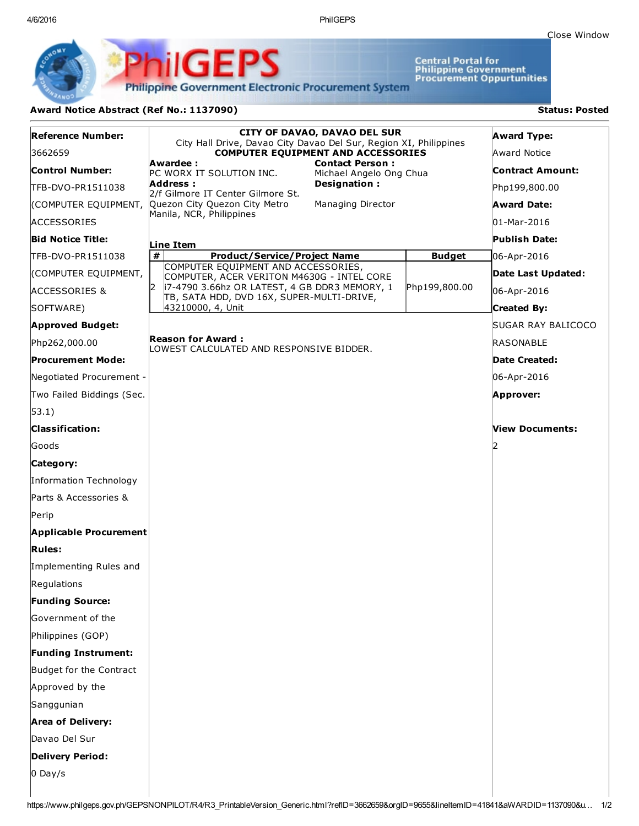4/6/2016 PhilGEPS

Central Portal for<br>Philippine Government<br>Procurement Oppurtunities

**Philippine Government Electronic Procurement System** 

PS

## Award Notice Abstract (Ref No.: 1137090) Status: Posted

PhilGEI

| <b>Reference Number:</b>   | <b>CITY OF DAVAO, DAVAO DEL SUR</b><br>City Hall Drive, Davao City Davao Del Sur, Region XI, Philippines |                                                   |               | <b>Award Type:</b>        |
|----------------------------|----------------------------------------------------------------------------------------------------------|---------------------------------------------------|---------------|---------------------------|
| 3662659                    | <b>COMPUTER EQUIPMENT AND ACCESSORIES</b>                                                                |                                                   |               | Award Notice              |
| <b>Control Number:</b>     | Awardee :<br>PC WORX IT SOLUTION INC.                                                                    | <b>Contact Person:</b><br>Michael Angelo Ong Chua |               | Contract Amount:          |
| TFB-DVO-PR1511038          | Designation:<br>Address :<br>2/f Gilmore IT Center Gilmore St.                                           |                                                   |               | Php199,800.00             |
|                            | (COMPUTER EQUIPMENT, Quezon City Quezon City Metro                                                       | Managing Director                                 |               | <b>Award Date:</b>        |
| <b>ACCESSORIES</b>         | Manila, NCR, Philippines                                                                                 |                                                   |               | 01-Mar-2016               |
| <b>Bid Notice Title:</b>   | Line Item                                                                                                |                                                   |               | <b>Publish Date:</b>      |
| TFB-DVO-PR1511038          | #<br><b>Product/Service/Project Name</b>                                                                 |                                                   | <b>Budget</b> | 06-Apr-2016               |
| (COMPUTER EQUIPMENT,       | COMPUTER EQUIPMENT AND ACCESSORIES,<br>COMPUTER, ACER VERITON M4630G - INTEL CORE                        |                                                   |               | Date Last Updated:        |
| <b>ACCESSORIES &amp;</b>   | 12<br>17-4790 3.66hz OR LATEST, 4 GB DDR3 MEMORY, 1<br>TB, SATA HDD, DVD 16X, SUPER-MULTI-DRIVE,         |                                                   | Php199,800.00 | 06-Apr-2016               |
| SOFTWARE)                  | 43210000, 4, Unit                                                                                        |                                                   |               | Created By:               |
| <b>Approved Budget:</b>    |                                                                                                          |                                                   |               | <b>SUGAR RAY BALICOCO</b> |
| Php262,000.00              | <b>Reason for Award:</b><br>LOWEST CALCULATED AND RESPONSIVE BIDDER.                                     |                                                   |               | RASONABLE                 |
| <b>Procurement Mode:</b>   |                                                                                                          |                                                   |               | Date Created:             |
| Negotiated Procurement -   |                                                                                                          |                                                   |               | 06-Apr-2016               |
| Two Failed Biddings (Sec.  |                                                                                                          |                                                   |               | Approver:                 |
| $ 53.1\rangle$             |                                                                                                          |                                                   |               |                           |
| <b>Classification:</b>     |                                                                                                          |                                                   |               | <b>View Documents:</b>    |
| Goods                      |                                                                                                          |                                                   |               |                           |
| Category:                  |                                                                                                          |                                                   |               |                           |
| Information Technology     |                                                                                                          |                                                   |               |                           |
| Parts & Accessories &      |                                                                                                          |                                                   |               |                           |
| Perip                      |                                                                                                          |                                                   |               |                           |
| Applicable Procurement     |                                                                                                          |                                                   |               |                           |
| Rules:                     |                                                                                                          |                                                   |               |                           |
| Implementing Rules and     |                                                                                                          |                                                   |               |                           |
| Regulations                |                                                                                                          |                                                   |               |                           |
| <b>Funding Source:</b>     |                                                                                                          |                                                   |               |                           |
| Government of the          |                                                                                                          |                                                   |               |                           |
| Philippines (GOP)          |                                                                                                          |                                                   |               |                           |
| <b>Funding Instrument:</b> |                                                                                                          |                                                   |               |                           |
| Budget for the Contract    |                                                                                                          |                                                   |               |                           |
| Approved by the            |                                                                                                          |                                                   |               |                           |
| Sanggunian                 |                                                                                                          |                                                   |               |                           |
| <b>Area of Delivery:</b>   |                                                                                                          |                                                   |               |                           |
| Davao Del Sur              |                                                                                                          |                                                   |               |                           |
| <b>Delivery Period:</b>    |                                                                                                          |                                                   |               |                           |
| $0$ Day/s                  |                                                                                                          |                                                   |               |                           |
|                            |                                                                                                          |                                                   |               |                           |